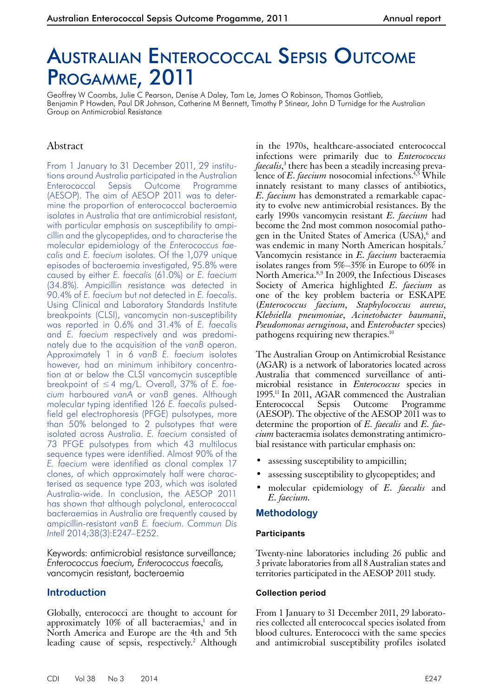# Australian Enterococcal Sepsis Outcome PROGAMME, 2011

Geoffrey W Coombs, Julie C Pearson, Denise A Daley, Tam Le, James O Robinson, Thomas Gottlieb, Benjamin P Howden, Paul DR Johnson, Catherine M Bennett, Timothy P Stinear, John D Turnidge for the Australian Group on Antimicrobial Resistance

# Abstract

From 1 January to 31 December 2011, 29 institutions around Australia participated in the Australian Enterococcal Sepsis Outcome Programme (AESOP). The aim of AESOP 2011 was to determine the proportion of enterococcal bacteraemia isolates in Australia that are antimicrobial resistant, with particular emphasis on susceptibility to ampicillin and the glycopeptides, and to characterise the molecular epidemiology of the *Enterococcus faecalis* and *E. faecium* isolates. Of the 1,079 unique episodes of bacteraemia investigated, 95.8% were caused by either *E. faecalis* (61.0%) or *E. faecium* (34.8%). Ampicillin resistance was detected in 90.4% of *E. faecium* but not detected in *E. faecalis*. Using Clinical and Laboratory Standards Institute breakpoints (CLSI), vancomycin non-susceptibility was reported in 0.6% and 31.4% of *E. faecalis* and *E. faecium* respectively and was predominately due to the acquisition of the *vanB* operon. Approximately 1 in 6 *vanB E. faecium* isolates however, had an minimum inhibitory concentration at or below the CLSI vancomycin susceptible breakpoint of ≤4 mg/L. Overall, 37% of *E. faecium* harboured *vanA* or *vanB* genes. Although molecular typing identified 126 *E. faecalis* pulsedfield gel electrophoresis (PFGE) pulsotypes, more than 50% belonged to 2 pulsotypes that were isolated across Australia. *E. faecium* consisted of 73 PFGE pulsotypes from which 43 multilocus sequence types were identified. Almost 90% of the *E. faecium* were identified as clonal complex 17 clones, of which approximately half were characterised as sequence type 203, which was isolated Australia-wide. In conclusion, the AESOP 2011 has shown that although polyclonal, enterococcal bacteraemias in Australia are frequently caused by ampicillin-resistant *vanB E. faecium*. *Commun Dis Intell* 2014;38(3):E247–E252.

Keywords: antimicrobial resistance surveillance; *Enterococcus faecium, Enterococcus faecalis,* vancomycin resistant, bacteraemia

## **Introduction**

Globally, enterococci are thought to account for approximately  $10\%$  of all bacteraemias,<sup>1</sup> and in North America and Europe are the 4th and 5th leading cause of sepsis, respectively.<sup>2</sup> Although

in the 1970s, healthcare-associated enterococcal infections were primarily due to *Enterococcus faecalis*, 3 there has been a steadily increasing prevalence of *E. faecium* nosocomial infections.4,5 While innately resistant to many classes of antibiotics, *E. faecium* has demonstrated a remarkable capacity to evolve new antimicrobial resistances. By the early 1990s vancomycin resistant *E. faecium* had become the 2nd most common nosocomial pathogen in the United States of America (USA),<sup>6</sup> and was endemic in many North American hospitals.<sup>7</sup> Vancomycin resistance in *E. faecium* bacteraemia isolates ranges from 5%–35% in Europe to 60% in North America.8,9 In 2009, the Infectious Diseases Society of America highlighted *E. faecium* as one of the key problem bacteria or ESKAPE (*Enterococcus faecium*, *Staphylococcus aureus*, *Klebsiella pneumoniae*, *Acinetobacter baumanii*, *Pseudomonas aeruginosa*, and *Enterobacter* species) pathogens requiring new therapies.10

The Australian Group on Antimicrobial Resistance (AGAR) is a network of laboratories located across Australia that commenced surveillance of antimicrobial resistance in *Enterococcus* species in 1995.11 In 2011, AGAR commenced the Australian Enterococcal Sepsis Outcome Programme (AESOP). The objective of the AESOP 2011 was to determine the proportion of *E. faecalis* and *E. faecium* bacteraemia isolates demonstrating antimicrobial resistance with particular emphasis on:

- assessing susceptibility to ampicillin;
- assessing susceptibility to glycopeptides; and
- molecular epidemiology of *E. faecalis* and *E. faecium.*

## **Methodology**

#### **Participants**

Twenty-nine laboratories including 26 public and 3 private laboratories from all 8 Australian states and territories participated in the AESOP 2011 study.

#### **Collection period**

From 1 January to 31 December 2011, 29 laboratories collected all enterococcal species isolated from blood cultures. Enterococci with the same species and antimicrobial susceptibility profiles isolated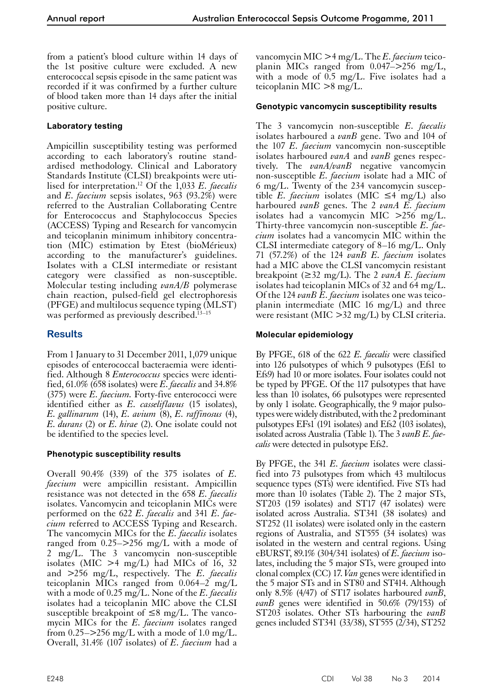from a patient's blood culture within 14 days of the 1st positive culture were excluded. A new enterococcal sepsis episode in the same patient was recorded if it was confirmed by a further culture of blood taken more than 14 days after the initial positive culture.

# **Laboratory testing**

Ampicillin susceptibility testing was performed according to each laboratory's routine standardised methodology. Clinical and Laboratory Standards Institute (CLSI) breakpoints were utilised for interpretation.12 Of the 1,033 *E. faecalis* and *E. faecium* sepsis isolates, 963 (93.2%) were referred to the Australian Collaborating Centre for Enterococcus and Staphylococcus Species (ACCESS) Typing and Research for vancomycin and teicoplanin minimum inhibitory concentration (MIC) estimation by Etest (bioMérieux) according to the manufacturer's guidelines. Isolates with a CLSI intermediate or resistant category were classified as non-susceptible. Molecular testing including *vanA/B* polymerase chain reaction, pulsed-field gel electrophoresis (PFGE) and multilocus sequence typing (MLST) was performed as previously described.<sup> $13-15$ </sup>

# **Results**

From 1 January to 31 December 2011, 1,079 unique episodes of enterococcal bacteraemia were identified. Although 8 *Enterococcus* species were identified, 61.0% (658 isolates) were *E. faecalis* and 34.8% (375) were *E. faecium.* Forty-five enterococci were identified either as *E. casseliflavus* (15 isolates), *E. gallinarum* (14), *E. avium* (8), *E. raffinosus* (4), *E. durans* (2) or *E. hirae* (2). One isolate could not be identified to the species level.

# **Phenotypic susceptibility results**

Overall 90.4% (339) of the 375 isolates of *E. faecium* were ampicillin resistant. Ampicillin resistance was not detected in the 658 *E. faecalis* isolates. Vancomycin and teicoplanin MICs were performed on the 622 *E. faecalis* and 341 *E. faecium* referred to ACCESS Typing and Research. The vancomycin MICs for the *E. faecalis* isolates ranged from 0.25–>256 mg/L with a mode of 2 mg/L. The 3 vancomycin non-susceptible isolates (MIC  $>4$  mg/L) had MICs of 16, 32 and >256 mg/L, respectively. The *E. faecalis* teicoplanin MICs ranged from 0.064–2 mg/L with a mode of 0.25 mg/L. None of the *E. faecalis* isolates had a teicoplanin MIC above the CLSI susceptible breakpoint of  $\leq 8$  mg/L. The vancomycin MICs for the *E. faecium* isolates ranged from  $0.25$ – $>$ 256 mg/L with a mode of 1.0 mg/L. Overall, 31.4% (107 isolates) of *E. faecium* had a

vancomycin MIC >4 mg/L. The *E. faecium* teicoplanin MICs ranged from 0.047–>256 mg/L, with a mode of 0.5 mg/L. Five isolates had a teicoplanin MIC >8 mg/L.

# **Genotypic vancomycin susceptibility results**

The 3 vancomycin non-susceptible *E. faecalis* isolates harboured a *vanB* gene. Two and 104 of the 107 *E. faecium* vancomycin non-susceptible isolates harboured *vanA* and *vanB* genes respectively. The *vanA/vanB* negative vancomycin non-susceptible *E. faecium* isolate had a MIC of 6 mg/L. Twenty of the 234 vancomycin susceptible *E. faecium* isolates (MIC ≤4 mg/L) also harboured *vanB* genes. The 2 *vanA E. faecium* isolates had a vancomycin MIC >256 mg/L. Thirty-three vancomycin non-susceptible *E. faecium* isolates had a vancomycin MIC within the CLSI intermediate category of 8–16 mg/L. Only 71 (57.2%) of the 124 *vanB E. faecium* isolates had a MIC above the CLSI vancomycin resistant breakpoint (≥32 mg/L). The 2 *vanA E. faecium* isolates had teicoplanin MICs of 32 and 64 mg/L. Of the 124 *vanB E. faecium* isolates one was teicoplanin intermediate (MIC 16 mg/L) and three were resistant (MIC  $>$ 32 mg/L) by CLSI criteria.

## **Molecular epidemiology**

By PFGE, 618 of the 622 *E. faecalis* were classified into 126 pulsotypes of which 9 pulsotypes (Efs1 to Efs9) had 10 or more isolates. Four isolates could not be typed by PFGE. Of the 117 pulsotypes that have less than 10 isolates, 66 pulsotypes were represented by only 1 isolate. Geographically, the 9 major pulso- types were widely distributed, with the 2 predominant pulsotypes EFs1 (191 isolates) and Efs2 (103 isolates), isolated across Australia (Table 1). The 3 *vanB E. fae- calis* were detected in pulsotype Efs2.

By PFGE, the 341 *E. faecium* isolates were classi- fied into 73 pulsotypes from which 43 multilocus sequence types (STs) were identified. Five STs had more than 10 isolates (Table 2). The 2 major STs, ST203 (159 isolates) and ST17 (47 isolates) were isolated across Australia. ST341 (38 isolates) and ST252 (11 isolates) were isolated only in the eastern regions of Australia, and ST555 (34 isolates) was isolated in the western and central regions. Using eBURST, 89.1% (304/341 isolates) of *E. faecium* isolates, including the 5 major STs, were grouped into clonal complex (CC) 17. *Van* genes were identified in the 5 major STs and in ST80 and ST414. Although only 8.5% (4/47) of ST17 isolates harboured *vanB*, *vanB* genes were identified in 50.6% (79/153) of ST203 isolates. Other STs harbouring the *vanB* genes included ST341 (33/38), ST555 (2/34), ST252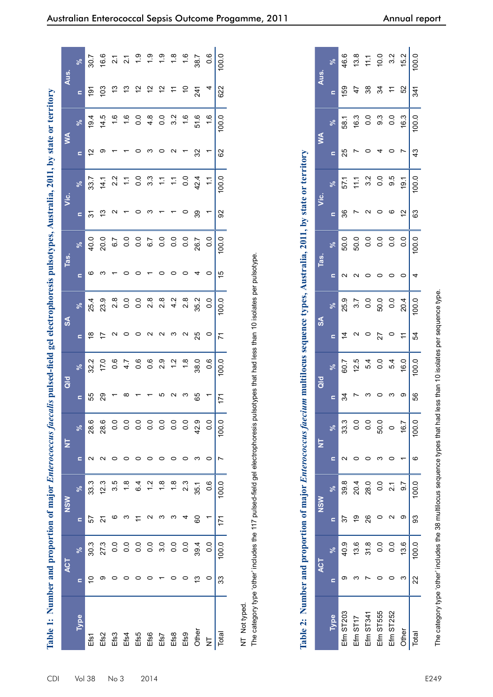| Table 1: Number and proportion of major <i>Enterococcus faecalis</i> pulsed-field gel electrophoresis pulsotypes, Australia, 2011, by state or territory |                          |                  |                   |                  |                          |                                                                                                                              |                          |                  |                   |                  |                |       |                       |                  |                          |                  |                |                  |
|----------------------------------------------------------------------------------------------------------------------------------------------------------|--------------------------|------------------|-------------------|------------------|--------------------------|------------------------------------------------------------------------------------------------------------------------------|--------------------------|------------------|-------------------|------------------|----------------|-------|-----------------------|------------------|--------------------------|------------------|----------------|------------------|
|                                                                                                                                                          |                          | ACT              |                   | <b>NSM</b>       |                          | E                                                                                                                            |                          | $\overline{a}$   |                   | $\mathsf{S}$     |                | Tas.  |                       | ن<br>آ           |                          | Š                | Aus.           |                  |
| Type                                                                                                                                                     | Ξ                        | ್ನೇ              | Ξ                 | ಸಿ               |                          | $\aleph$                                                                                                                     | Ξ                        | $\aleph$         | $\mathbf{C}$      | ಸಿ               | $\blacksquare$ | ಸಿ    | $\mathbf{C}$          | $\aleph$         | $\mathbf{r}$             | ಸಿ               | $\blacksquare$ | ಸಿ               |
| Efs1                                                                                                                                                     | $\overline{C}$           | 30.3             | 57                | 33.3             | $\sim$                   | 28.6                                                                                                                         | 55                       | 32.2             | $\frac{8}{1}$     | 25.4             | ဖ              | 40.0  | 51                    | 33.7             | $\overline{c}$           | 19.4             | 191            | 30.7             |
| Ef <sub>S2</sub>                                                                                                                                         | တ                        | 27.3             | $\overline{2}$    | 12.3             | $\sim$                   | 28.6                                                                                                                         | 29                       | 17.0             | $\overline{1}$    | 23.9             | ო              | 20.0  | 13                    | 14.1             | ၜ                        | 14.5             | 103            | 16.6             |
| Efs3                                                                                                                                                     | $\circ$                  | 0.0              | ဖ                 | 3.5              | $\circ$                  | 0.0                                                                                                                          |                          | $0.\overline{6}$ | $\mathbf{\Omega}$ | 2.8              |                | 6.7   | $\mathbf{\Omega}$     | 2.2              | $\overline{\phantom{0}}$ | 1.6              | 13             | $\overline{21}$  |
| Efs4                                                                                                                                                     | $\circ$                  | 0.0              | ო                 | 1.8              | $\circ$                  | $\overline{0}$ .                                                                                                             | $\infty$                 | 4.7              | $\circ$           | 0.0              | $\circ$        | 0.0   | $\overline{ }$        | $\ddot{ }$       | $\overline{ }$           | 1.6              | 13             | $\overline{2.1}$ |
| Efs5                                                                                                                                                     | $\circ$                  | 0.0              | $\overline{1}$    | 6.4              | $\circ$                  | $\overline{0}$ .                                                                                                             | $\overline{\phantom{0}}$ | 0.6              |                   | 0.0              | $\circ$        | 0.0   | $\circ$               | 0.0              | $\circ$                  | 0.0              | $\tilde{c}$    | $\frac{6}{10}$   |
| Efs6                                                                                                                                                     | $\circ$                  | $\overline{0}$ . | $\mathbf{\Omega}$ | $\frac{2}{1}$    | $\circ$                  | $\overline{0}$ .                                                                                                             | $\overline{ }$           | 0.6              |                   | $2.\overline{8}$ |                | 6.7   | <b>ന</b>              | $3.\overline{3}$ | ന O                      | $4.\overline{8}$ | $\tilde{c}$    | $\frac{1}{2}$    |
| Efs7                                                                                                                                                     | $\overline{\phantom{m}}$ | 3.0              | ო                 | 1.8              | $\circ$                  | $\overline{0}$ .                                                                                                             | 5                        | 2.9              | o a a s           | $2.\overline{8}$ | $\circ$        | 0.0   | $\overline{ }$        | $\ddot{ }$       |                          | 0.0              | $\tilde{c}$    | $\frac{0}{1}$    |
| Efs8                                                                                                                                                     | $\circ$                  | 0.0              | S                 | 1.8              | $\circ$                  | $\overline{0}$                                                                                                               | $\sim$                   | 1.2              |                   | 4.2              | $\circ$        | 0.0   | $\overline{ }$        | $\ddot{ }$       | $\sim$                   | 3.2              | $\tilde{+}$    | $\frac{8}{18}$   |
| Ef <sub>5</sub> 9                                                                                                                                        | $\circ$                  | 0.0              | 4                 | 2.3              | $\circ$                  | $\overline{0}$ .                                                                                                             | <b>ന</b>                 | 1.8              | $\sim$            | $2.\overline{8}$ | $\circ$        | 0.0   | $\circ$               | 0.0              | $\overline{ }$           | 1.6              | $\tilde{c}$    | 16               |
| Other                                                                                                                                                    | ഇ                        | 39.4             | 80                | 35.1             | ო                        | 42.9                                                                                                                         | 65                       | 38.0             | 25                | 35.2             | 4              | 26.7  | 39                    | 42.4             | $\Omega$                 | 51.6             | 241            | 38.7             |
| $\overline{z}$                                                                                                                                           | $\circ$                  | 0.0              |                   | $0.\overline{6}$ | $\circ$                  | $\overline{0}$ .                                                                                                             | $\overline{ }$           | $0.\overline{6}$ | $\circ$           | 0.0              | $\circ$        | 0.0   |                       |                  |                          | 1.6              |                | 0.6              |
| Total                                                                                                                                                    | 33                       | 100.0            | 171               | 100.0            | Ľ                        | 100.0                                                                                                                        | 171                      | 100.0            | 71                | 0.00             | 15             | 100.0 | 92                    | 100.0            | 62                       | 100.0            | 622            | 100.0            |
| Table 2:                                                                                                                                                 |                          |                  |                   |                  |                          | Number and proportion of major <i>Enterococcus faecium</i> multilocus sequence types, Australia, 2011, by state or territory |                          |                  |                   |                  |                |       |                       |                  |                          |                  |                |                  |
|                                                                                                                                                          |                          | <b>ACT</b>       |                   | $rac{5}{2}$      |                          | $\overline{\mathsf{z}}$                                                                                                      |                          | $\frac{d}{d}$    |                   | $\frac{1}{2}$    |                | Tas.  |                       | ن<br>آ           |                          | $\leq$           | Aus.           |                  |
| <b>Type</b>                                                                                                                                              | $\equiv$                 | ೢೕ               | $\blacksquare$    |                  | $\blacksquare$           | ೢೕ                                                                                                                           | $\blacksquare$           | ್ಗೇ              | $\equiv$          | ್ಗೇ              | $\equiv$       |       | $\equiv$              | ್ಗೇ              | $\equiv$                 | ಸಿ               | $\blacksquare$ | ್ನೇ              |
| Efm ST203                                                                                                                                                | თ                        | 40.9             | 22                | 39.8             | $\sim$                   | 33.3                                                                                                                         | 34                       | 60.7             | $\overline{4}$    | 25.9             |                | 50.0  | 36                    | 57.1             | 25                       | 58.1             | 159            | 46.6             |
| Efm ST17                                                                                                                                                 | S                        | 13.6             | ć,                | 20.4             | $\circ$                  | 0.0                                                                                                                          | r                        | 12.5             | $\mathbf{\Omega}$ | 3.7              | $\sim$ $\sim$  | 50.0  | $\overline{ }$        | 111              | L                        | 16.3             | 47             | 13.8             |
| Efm ST341                                                                                                                                                | $\overline{ }$           | 31.8             | 26                | 28.0             | $\circ$                  | 0.0                                                                                                                          | က                        | 5.4              | $\circ$           | 0.0              |                | 0.0   | $\sim$                | 3.2              | $\circ$                  | $\overline{0}$ . | 38             | 11.1             |
| Efm ST555                                                                                                                                                | $\circ$                  | 0.0              | $\circ$           | 0.0              | ო                        | 50.0                                                                                                                         | $\circ$                  | 0.0              | 27                | 50.0             | $\circ$        | 0.0   | $\circ$               | 0.0              | $\overline{4}$           | $9.\overline{3}$ | 34             | 10.0             |
| Efm ST252                                                                                                                                                | $\circ$                  | 0.0              | $\mathbf{\Omega}$ | $\overline{21}$  | $\circ$                  | $\circ$                                                                                                                      | ా                        | 5.4              | $\circ$           | 0.0              | $\circ$        | 0.0   | ം                     | 9.5              | $\circ$                  | $\overline{0}$   | $\div$         | 3.2              |
| Other                                                                                                                                                    | S                        | 13.6             | ၜ                 | 9.7              | $\overline{\phantom{0}}$ | 16.7                                                                                                                         | တ                        | 16.0             | Ξ                 | 20.4             | $\circ$        | 0.0   | $\tilde{\mathcal{L}}$ | 19.1             | $\overline{ }$           | 16.3             | 52             | 15.2             |
| Total                                                                                                                                                    | 22                       | 100.0            | 3                 | 100.0            | ဖ                        | 100.0                                                                                                                        | 56                       | 100.0            | 54                | 100.0            | 4              | 100.0 | 63                    | 100.0            | 43                       | 100.0            | 341            | 100.0            |
| The category type 'other' includes the 38 multilocus sequence types that had less than 10 isolates per sequence type                                     |                          |                  |                   |                  |                          |                                                                                                                              |                          |                  |                   |                  |                |       |                       |                  |                          |                  |                |                  |

|                  |           | ACT           |    | <b>NSW</b>       | $\overline{z}$ |                |         | $\frac{d}{d}$ |              | $\frac{8}{2}$ |          | Tas.                                                               | <u>ن</u><br>آ |       |    | ≸                                                       | Aus.           |                                                                                                              |
|------------------|-----------|---------------|----|------------------|----------------|----------------|---------|---------------|--------------|---------------|----------|--------------------------------------------------------------------|---------------|-------|----|---------------------------------------------------------|----------------|--------------------------------------------------------------------------------------------------------------|
| Type             |           |               |    | ್ನೇ              |                |                | s       | ಸ್            | $\mathbf{r}$ | ೢೕ            | $\equiv$ | ೢೕ                                                                 | $\equiv$      | ಸಿ    | c  | ಸ್                                                      | c              | ×ಿ                                                                                                           |
| <b>Efm ST203</b> |           | 40.9          | 37 | 39.8             |                | 33.3           |         | 60.7          | 4            | 25.9          |          | 50.0                                                               | 36            | 57.1  | 25 | 58.1                                                    | 159            | 46.6                                                                                                         |
| Efm ST17         |           | 13.6          | ഉ  | 20.4             |                | 0.0            |         | 12.5          |              | 3.7           |          |                                                                    |               |       |    |                                                         | 47             |                                                                                                              |
| Efm ST341        |           | 31.8          | 26 | 28.0             |                | $\overline{0}$ |         | 5.4           |              | 0.0           |          |                                                                    |               |       |    |                                                         | 38             |                                                                                                              |
| Efm ST555        |           | $\frac{0}{2}$ |    | $\overline{0}$ . |                | 50.0           |         | 0.0           | 27           | 50.0          |          | $\begin{array}{ccc} 0 & 0 & 0 & 0 \\ 0 & 0 & 0 & 0 \\ \end{array}$ |               | 7.300 |    | $\begin{array}{ccc} 0.3 & 0.3 \\ 0.3 & 0.3 \end{array}$ |                |                                                                                                              |
| Efm ST252        |           | $\frac{0}{2}$ |    | $\overline{21}$  |                | $\circ$        |         | 5.4           |              | 0.0           |          |                                                                    | 0             | 9.5   |    | 0.0                                                     | $x \nbrace{4}$ |                                                                                                              |
| Other            |           | 13.6          |    | $\overline{9.7}$ |                | 16.7           | $\circ$ | 16.0          | $\tilde{t}$  | 20.4          |          | $\overline{0}$ .                                                   | 5             | 19.1  |    | 16.3                                                    | $\frac{52}{3}$ | $\begin{array}{ccc} 1.8 & 0.7 & 0.7 \\ 1.1 & 0.5 & 0.7 \\ 0.0 & 0.5 & 0.7 \\ 0.0 & 0.7 & 0.7 \\ \end{array}$ |
| Total            | $\approx$ | 100.0         | 93 | 100.0            |                | 100.0          | 56      | 100.0         | 54           | 100.0         | 4        | 100.0                                                              | 63            | 100.0 | 43 | 100.0                                                   | 341            | 100.0                                                                                                        |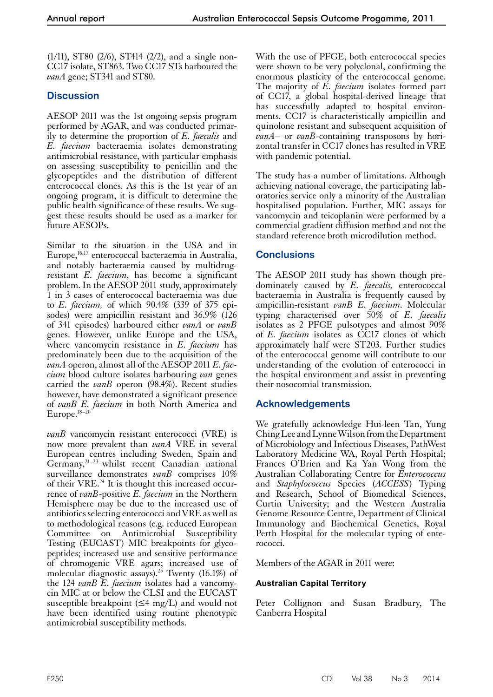(1/11), ST80 (2/6), ST414 (2/2), and a single non-CC17 isolate, ST863. Two CC17 STs harboured the *vanA* gene; ST341 and ST80.

# **Discussion**

AESOP 2011 was the 1st ongoing sepsis program performed by AGAR, and was conducted primarily to determine the proportion of *E. faecalis* and *E. faecium* bacteraemia isolates demonstrating antimicrobial resistance, with particular emphasis on assessing susceptibility to penicillin and the glycopeptides and the distribution of different enterococcal clones. As this is the 1st year of an ongoing program, it is difficult to determine the public health significance of these results. We suggest these results should be used as a marker for future AESOPs.

Similar to the situation in the USA and in Europe,<sup>16,17</sup> enterococcal bacteraemia in Australia, and notably bacteraemia caused by multidrugresistant *E. faecium*, has become a significant problem. In the AESOP 2011 study, approximately 1 in 3 cases of enterococcal bacteraemia was due to *E. faecium,* of which 90.4% (339 of 375 episodes) were ampicillin resistant and 36.9% (126 of 341 episodes) harboured either *vanA* or *vanB* genes. However, unlike Europe and the USA, where vancomycin resistance in *E. faecium* has predominately been due to the acquisition of the *vanA* operon, almost all of the AESOP 2011 *E. faecium* blood culture isolates harbouring *van* genes carried the *vanB* operon (98.4%). Recent studies however, have demonstrated a significant presence of *vanB E. faecium* in both North America and Europe.18–20

*vanB* vancomycin resistant enterococci (VRE) is now more prevalent than *vanA* VRE in several European centres including Sweden, Spain and Germany,<sup>21-23</sup> whilst recent Canadian national surveillance demonstrates *vanB* comprises 10% of their VRE.<sup>24</sup> It is thought this increased occurrence of *vanB*-positive *E. faecium* in the Northern Hemisphere may be due to the increased use of antibiotics selecting enterococci and VRE as well as to methodological reasons (e.g. reduced European Committee on Antimicrobial Susceptibility Testing (EUCAST) MIC breakpoints for glycopeptides; increased use and sensitive performance of chromogenic VRE agars; increased use of molecular diagnostic assays).<sup>25</sup> Twenty (16.1%) of the 124 *vanB E. faecium* isolates had a vancomy- cin MIC at or below the CLSI and the EUCAST susceptible breakpoint ( $\leq$ 4 mg/L) and would not have been identified using routine phenotypic antimicrobial susceptibility methods.

With the use of PFGE, both enterococcal species were shown to be very polyclonal, confirming the enormous plasticity of the enterococcal genome. The majority of *E. faecium* isolates formed part of CC17, a global hospital-derived lineage that has successfully adapted to hospital environments. CC17 is characteristically ampicillin and quinolone resistant and subsequent acquisition of *vanA*– or *vanB*-containing transposons by horizontal transfer in CC17 clones has resulted in VRE with pandemic potential.

The study has a number of limitations. Although achieving national coverage, the participating laboratories service only a minority of the Australian hospitalised population. Further, MIC assays for vancomycin and teicoplanin were performed by a commercial gradient diffusion method and not the standard reference broth microdilution method.

# **Conclusions**

The AESOP 2011 study has shown though predominately caused by *E. faecalis,* enterococcal bacteraemia in Australia is frequently caused by ampicillin-resistant *vanB E. faecium*. Molecular typing characterised over 50% of *E. faecalis* isolates as 2 PFGE pulsotypes and almost 90% of *E. faecium* isolates as CC17 clones of which approximately half were ST203. Further studies of the enterococcal genome will contribute to our understanding of the evolution of enterococci in the hospital environment and assist in preventing their nosocomial transmission.

# **Acknowledgements**

We gratefully acknowledge Hui-leen Tan, Yung Ching Lee and Lynne Wilson from the Department of Microbiology and Infectious Diseases, PathWest Laboratory Medicine WA, Royal Perth Hospital; Frances O'Brien and Ka Yan Wong from the Australian Collaborating Centre for *Enterococcus* and *Staphylococcus* Species (*ACCESS*) Typing and Research, School of Biomedical Sciences, Curtin University; and the Western Australia Genome Resource Centre, Department of Clinical Immunology and Biochemical Genetics, Royal Perth Hospital for the molecular typing of enterococci.

Members of the AGAR in 2011 were:

## **Australian Capital Territory**

Peter Collignon and Susan Bradbury, The Canberra Hospital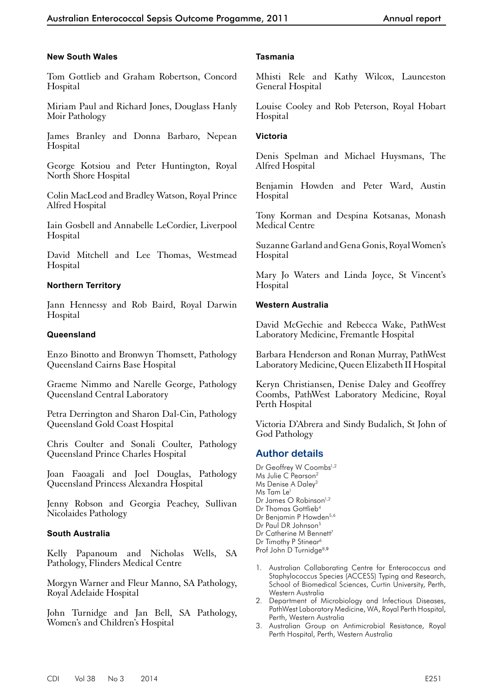#### **New South Wales**

Tom Gottlieb and Graham Robertson, Concord Hospital

Miriam Paul and Richard Jones, Douglass Hanly Moir Pathology

James Branley and Donna Barbaro, Nepean Hospital

George Kotsiou and Peter Huntington, Royal North Shore Hospital

Colin MacLeod and Bradley Watson, Royal Prince Alfred Hospital

Iain Gosbell and Annabelle LeCordier, Liverpool Hospital

David Mitchell and Lee Thomas, Westmead Hospital

#### **Northern Territory**

Jann Hennessy and Rob Baird, Royal Darwin Hospital

#### **Queensland**

Enzo Binotto and Bronwyn Thomsett, Pathology Queensland Cairns Base Hospital

Graeme Nimmo and Narelle George, Pathology Queensland Central Laboratory

Petra Derrington and Sharon Dal-Cin, Pathology Queensland Gold Coast Hospital

Chris Coulter and Sonali Coulter, Pathology Queensland Prince Charles Hospital

Joan Faoagali and Joel Douglas, Pathology Queensland Princess Alexandra Hospital

Jenny Robson and Georgia Peachey, Sullivan Nicolaides Pathology

#### **South Australia**

Kelly Papanoum and Nicholas Wells, SA Pathology, Flinders Medical Centre

Morgyn Warner and Fleur Manno, SA Pathology, Royal Adelaide Hospital

John Turnidge and Jan Bell, SA Pathology, Women's and Children's Hospital

#### **Tasmania**

Mhisti Rele and Kathy Wilcox, Launceston General Hospital

Louise Cooley and Rob Peterson, Royal Hobart Hospital

#### **Victoria**

Denis Spelman and Michael Huysmans, The Alfred Hospital

Benjamin Howden and Peter Ward, Austin Hospital

Tony Korman and Despina Kotsanas, Monash Medical Centre

Suzanne Garland and Gena Gonis, Royal Women's Hospital

Mary Jo Waters and Linda Joyce, St Vincent's Hospital

#### **Western Australia**

David McGechie and Rebecca Wake, PathWest Laboratory Medicine, Fremantle Hospital

Barbara Henderson and Ronan Murray, PathWest Laboratory Medicine, Queen Elizabeth II Hospital

Keryn Christiansen, Denise Daley and Geoffrey Coombs, PathWest Laboratory Medicine, Royal Perth Hospital

Victoria D'Abrera and Sindy Budalich, St John of God Pathology

# **Author details**

- Dr Geoffrey W Coombs<sup>1,2</sup> Ms Julie C Pearson<sup>2</sup> Ms Denise A Daley<sup>3</sup> Ms Tam Le<sup>1</sup> Dr James O Robinson<sup>1,2</sup> Dr Thomas Gottlieb<sup>4</sup> Dr Benjamin P Howden<sup>5,6</sup> Dr Paul DR Johnson<sup>5</sup> Dr Catherine M Bennett<sup>7</sup> Dr Timothy P Stinear<sup>6</sup> Prof John D Turnidge<sup>8,9</sup>
- 1. Australian Collaborating Centre for Enterococcus and Staphylococcus Species (ACCESS) Typing and Research, School of Biomedical Sciences, Curtin University, Perth, Western Australia
- 2. Department of Microbiology and Infectious Diseases, PathWest Laboratory Medicine, WA, Royal Perth Hospital, Perth, Western Australia
- 3. Australian Group on Antimicrobial Resistance, Royal Perth Hospital, Perth, Western Australia